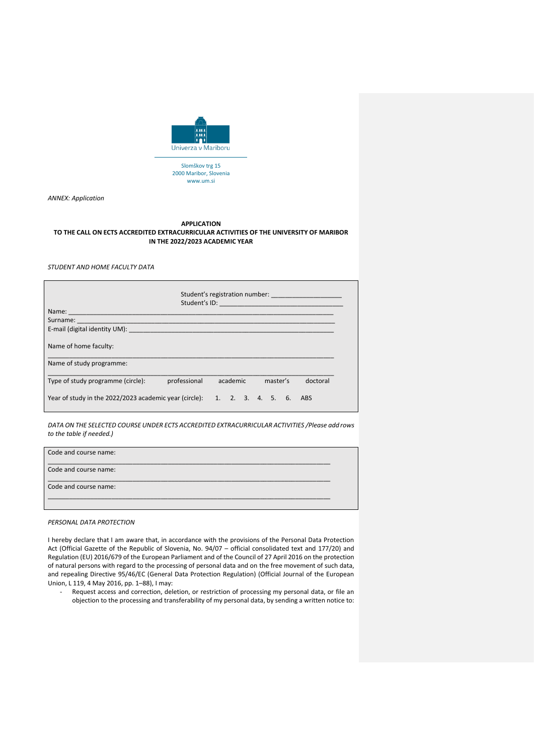

Slomškov trg 15 2000 Maribor, Slovenia www.um.si

*ANNEX: Application*

## **APPLICATION TO THE CALL ON ECTS ACCREDITED EXTRACURRICULAR ACTIVITIES OF THE UNIVERSITY OF MARIBOR IN THE 2022/2023 ACADEMIC YEAR**

*STUDENT AND HOME FACULTY DATA*

|                                                                                                                                                                                                                                | Student's registration number: _______________________ |          |  |  |          |  |  |          |  |
|--------------------------------------------------------------------------------------------------------------------------------------------------------------------------------------------------------------------------------|--------------------------------------------------------|----------|--|--|----------|--|--|----------|--|
| Name: Name and the contract of the contract of the contract of the contract of the contract of the contract of the contract of the contract of the contract of the contract of the contract of the contract of the contract of |                                                        |          |  |  |          |  |  |          |  |
|                                                                                                                                                                                                                                |                                                        |          |  |  |          |  |  |          |  |
|                                                                                                                                                                                                                                |                                                        |          |  |  |          |  |  |          |  |
| Name of home faculty:                                                                                                                                                                                                          |                                                        |          |  |  |          |  |  |          |  |
| Name of study programme:                                                                                                                                                                                                       |                                                        |          |  |  |          |  |  |          |  |
| Type of study programme (circle):                                                                                                                                                                                              | professional                                           | academic |  |  | master's |  |  | doctoral |  |
| Year of study in the $2022/2023$ academic year (circle): 1. 2. 3. 4. 5. 6.                                                                                                                                                     |                                                        |          |  |  |          |  |  | ABS      |  |

*DATA ON THE SELECTED COURSE UNDER ECTS ACCREDITED EXTRACURRICULAR ACTIVITIES /Please add rows to the table if needed.)*

| Code and course name: |  |
|-----------------------|--|
| Code and course name: |  |
| Code and course name: |  |
|                       |  |

*PERSONAL DATA PROTECTION*

I hereby declare that I am aware that, in accordance with the provisions of the Personal Data Protection Act (Official Gazette of the Republic of Slovenia, No. 94/07 – official consolidated text and 177/20) and Regulation (EU) 2016/679 of the European Parliament and of the Council of 27 April 2016 on the protection of natural persons with regard to the processing of personal data and on the free movement of such data, and repealing Directive 95/46/EC (General Data Protection Regulation) (Official Journal of the European Union, L 119, 4 May 2016, pp. 1–88), I may:

Request access and correction, deletion, or restriction of processing my personal data, or file an objection to the processing and transferability of my personal data, by sending a written notice to: